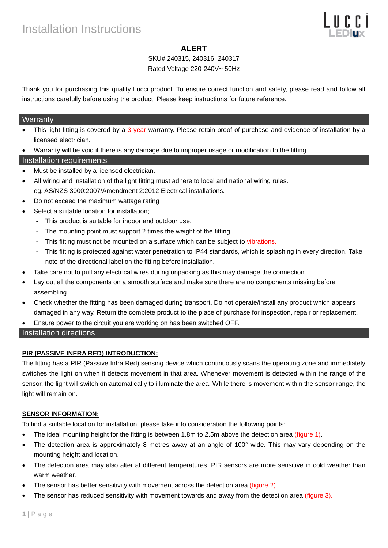# **ALERT**

# SKU# 240315, 240316, 240317

### Rated Voltage 220-240V~ 50Hz

Thank you for purchasing this quality Lucci product. To ensure correct function and safety, please read and follow all instructions carefully before using the product. Please keep instructions for future reference.

### **Warranty**

- This light fitting is covered by a 3 year warranty. Please retain proof of purchase and evidence of installation by a licensed electrician.
- Warranty will be void if there is any damage due to improper usage or modification to the fitting.

# Installation requirements

- Must be installed by a licensed electrician.
- All wiring and installation of the light fitting must adhere to local and national wiring rules. eg. AS/NZS 3000:2007/Amendment 2:2012 Electrical installations.
- Do not exceed the maximum wattage rating
- Select a suitable location for installation;
	- This product is suitable for indoor and outdoor use.
	- The mounting point must support 2 times the weight of the fitting.
	- This fitting must not be mounted on a surface which can be subject to vibrations.
	- This fitting is protected against water penetration to IP44 standards, which is splashing in every direction. Take note of the directional label on the fitting before installation.
- Take care not to pull any electrical wires during unpacking as this may damage the connection.
- Lay out all the components on a smooth surface and make sure there are no components missing before assembling.
- Check whether the fitting has been damaged during transport. Do not operate/install any product which appears damaged in any way. Return the complete product to the place of purchase for inspection, repair or replacement.
- Ensure power to the circuit you are working on has been switched OFF.

# Installation directions

# **PIR (PASSIVE INFRA RED) INTRODUCTION:**

The fitting has a PIR (Passive Infra Red) sensing device which continuously scans the operating zone and immediately switches the light on when it detects movement in that area. Whenever movement is detected within the range of the sensor, the light will switch on automatically to illuminate the area. While there is movement within the sensor range, the light will remain on.

# **SENSOR INFORMATION:**

To find a suitable location for installation, please take into consideration the following points:

- The ideal mounting height for the fitting is between 1.8m to 2.5m above the detection area (figure 1).
- The detection area is approximately 8 metres away at an angle of 100° wide. This may vary depending on the mounting height and location.
- The detection area may also alter at different temperatures. PIR sensors are more sensitive in cold weather than warm weather.
- The sensor has better sensitivity with movement across the detection area (figure 2).
- The sensor has reduced sensitivity with movement towards and away from the detection area (figure 3).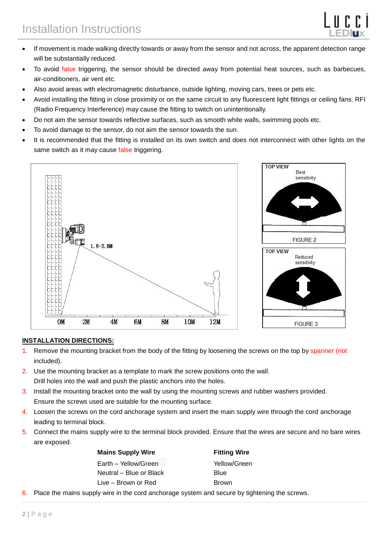

Best sensitivity

- If movement is made walking directly towards or away from the sensor and not across, the apparent detection range will be substantially reduced.
- To avoid false triggering, the sensor should be directed away from potential heat sources, such as barbecues, air-conditioners, air vent etc.
- Also avoid areas with electromagnetic disturbance, outside lighting, moving cars, trees or pets etc.
- Avoid installing the fitting in close proximity or on the same circuit to any fluorescent light fittings or ceiling fans. RFI (Radio Frequency Interference) may cause the fitting to switch on unintentionally.
- Do not aim the sensor towards reflective surfaces, such as smooth white walls, swimming pools etc.
- To avoid damage to the sensor, do not aim the sensor towards the sun.
- It is recommended that the fitting is installed on its own switch and does not interconnect with other lights on the same switch as it may cause false triggering.



### **INSTALLATION DIRECTIONS:**

- 1. Remove the mounting bracket from the body of the fitting by loosening the screws on the top by spanner (not included).
- 2. Use the mounting bracket as a template to mark the screw positions onto the wall. Drill holes into the wall and push the plastic anchors into the holes.
- 3. Install the mounting bracket onto the wall by using the mounting screws and rubber washers provided. Ensure the screws used are suitable for the mounting surface.
- 4. Loosen the screws on the cord anchorage system and insert the main supply wire through the cord anchorage leading to terminal block.
- 5. Connect the mains supply wire to the terminal block provided. Ensure that the wires are secure and no bare wires are exposed.

**Fitting Wire** Yellow/Green Blue **Brown** 

6. Place the mains supply wire in the cord anchorage system and secure by tightening the screws.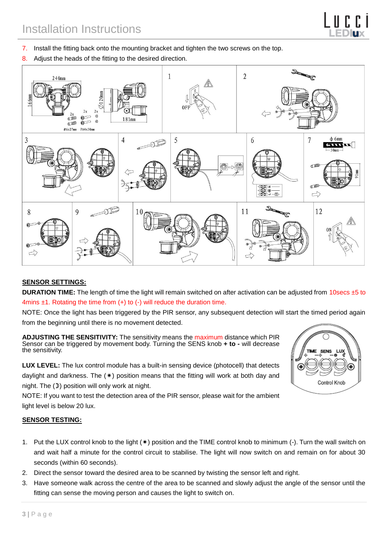- 7. Install the fitting back onto the mounting bracket and tighten the two screws on the top.
- 8. Adjust the heads of the fitting to the desired direction.



### **SENSOR SETTINGS:**

**DURATION TIME:** The length of time the light will remain switched on after activation can be adjusted from 10secs ±5 to 4mins  $\pm$ 1. Rotating the time from  $(+)$  to  $(-)$  will reduce the duration time.

NOTE: Once the light has been triggered by the PIR sensor, any subsequent detection will start the timed period again from the beginning until there is no movement detected.

**ADJUSTING THE SENSITIVITY:** The sensitivity means the maximum distance which PIR Sensor can be triggered by movement body. Turning the SENS knob **+ to -** will decrease the sensitivity.

**LUX LEVEL:** The lux control module has a built-in sensing device (photocell) that detects daylight and darkness. The  $(*)$  position means that the fitting will work at both day and night. The  $(D)$  position will only work at night.

NOTE: If you want to test the detection area of the PIR sensor, please wait for the ambient light level is below 20 lux.

# Control Knob

### **SENSOR TESTING:**

- 1. Put the LUX control knob to the light (\*) position and the TIME control knob to minimum (-). Turn the wall switch on and wait half a minute for the control circuit to stabilise. The light will now switch on and remain on for about 30 seconds (within 60 seconds).
- 2. Direct the sensor toward the desired area to be scanned by twisting the sensor left and right.
- 3. Have someone walk across the centre of the area to be scanned and slowly adjust the angle of the sensor until the fitting can sense the moving person and causes the light to switch on.